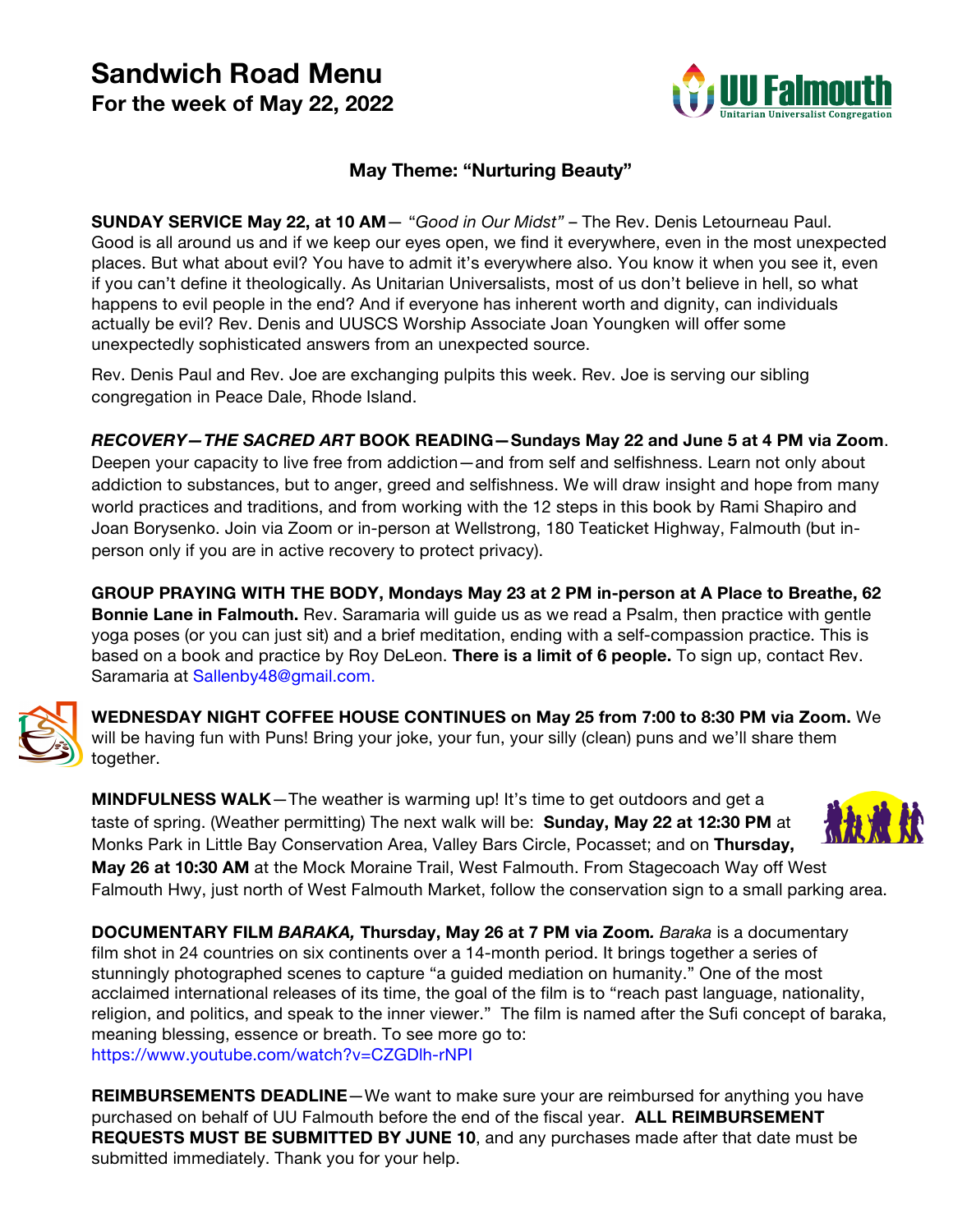# **Sandwich Road Menu For the week of May 22, 2022**



# **May Theme: "Nurturing Beauty"**

**SUNDAY SERVICE May 22, at 10 AM**— "*Good in Our Midst"* – The Rev. Denis Letourneau Paul. Good is all around us and if we keep our eyes open, we find it everywhere, even in the most unexpected places. But what about evil? You have to admit it's everywhere also. You know it when you see it, even if you can't define it theologically. As Unitarian Universalists, most of us don't believe in hell, so what happens to evil people in the end? And if everyone has inherent worth and dignity, can individuals actually be evil? Rev. Denis and UUSCS Worship Associate Joan Youngken will offer some unexpectedly sophisticated answers from an unexpected source.

Rev. Denis Paul and Rev. Joe are exchanging pulpits this week. Rev. Joe is serving our sibling congregation in Peace Dale, Rhode Island.

*RECOVERY—THE SACRED ART* **BOOK READING—Sundays May 22 and June 5 at 4 PM via Zoom**. Deepen your capacity to live free from addiction—and from self and selfishness. Learn not only about addiction to substances, but to anger, greed and selfishness. We will draw insight and hope from many world practices and traditions, and from working with the 12 steps in this book by Rami Shapiro and Joan Borysenko. Join via Zoom or in-person at Wellstrong, 180 Teaticket Highway, Falmouth (but inperson only if you are in active recovery to protect privacy).

**GROUP PRAYING WITH THE BODY, Mondays May 23 at 2 PM in-person at A Place to Breathe, 62 Bonnie Lane in Falmouth.** Rev. Saramaria will guide us as we read a Psalm, then practice with gentle yoga poses (or you can just sit) and a brief meditation, ending with a self-compassion practice. This is based on a book and practice by Roy DeLeon. **There is a limit of 6 people.** To sign up, contact Rev. Saramaria at Sallenby48@gmail.com.



**WEDNESDAY NIGHT COFFEE HOUSE CONTINUES on May 25 from 7:00 to 8:30 PM via Zoom.** We will be having fun with Puns! Bring your joke, your fun, your silly (clean) puns and we'll share them together.

**MINDFULNESS WALK**—The weather is warming up! It's time to get outdoors and get a taste of spring. (Weather permitting) The next walk will be: **Sunday, May 22 at 12:30 PM** at Monks Park in Little Bay Conservation Area, Valley Bars Circle, Pocasset; and on **Thursday, May 26 at 10:30 AM** at the Mock Moraine Trail, West Falmouth. From Stagecoach Way off West Falmouth Hwy, just north of West Falmouth Market, follow the conservation sign to a small parking area.

**DOCUMENTARY FILM** *BARAKA,* **Thursday, May 26 at 7 PM via Zoom***. Baraka* is a documentary film shot in 24 countries on six continents over a 14-month period. It brings together a series of stunningly photographed scenes to capture "a guided mediation on humanity." One of the most acclaimed international releases of its time, the goal of the film is to "reach past language, nationality, religion, and politics, and speak to the inner viewer." The film is named after the Sufi concept of baraka, meaning blessing, essence or breath. To see more go to: https://www.youtube.com/watch?v=CZGDlh-rNPI

**REIMBURSEMENTS DEADLINE**—We want to make sure your are reimbursed for anything you have purchased on behalf of UU Falmouth before the end of the fiscal year. **ALL REIMBURSEMENT REQUESTS MUST BE SUBMITTED BY JUNE 10**, and any purchases made after that date must be submitted immediately. Thank you for your help.